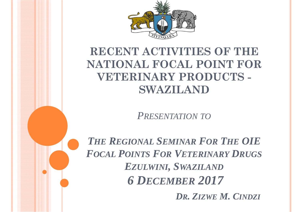

#### **RECENT ACTIVITIES OF THE NATIONAL FOCAL POINT FOR VETERINARY PRODUCTS - SWAZILAND**

*PRESENTATION TO*

*THEREGIONALSEMINARFORTHE OIE FOCALPOINTSFORVETERINARYDRUGSEZULWINI, SWAZILAND 6 DECEMBER 2017*

*DR. ZIZWE M. CINDZI*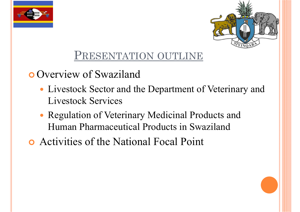



#### PRESENTATION OUTLINE

**o** Overview of Swaziland

- Livestock Sector and the Department of Veterinary and Livestock Services
- Regulation of Veterinary Medicinal Products and Human Pharmaceutical Products in Swaziland
- Activities of the National Focal Point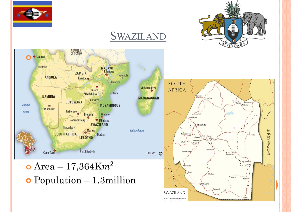



SWAZILAND



SWAZILAND

tional boundary National canital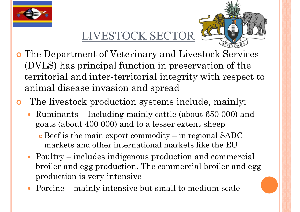

#### LIVESTOCK SECTOR



- The Department of Veterinary and Livestock Services (DVLS) has principal function in preservation of the territorial and inter-territorial integrity with respect to animal disease invasion and spread
- $\bullet$  The livestock production systems include, mainly;
	- Ruminants Including mainly cattle (about 650 000) and goats (about 400 000) and to a lesser extent sheep
		- Beef is the main export commodity in regional SADC markets and other international markets like the EU
	- Poultry includes indigenous production and commercial broiler and egg production. The commercial broiler and egg production is very intensive
	- Porcine mainly intensive but small to medium scale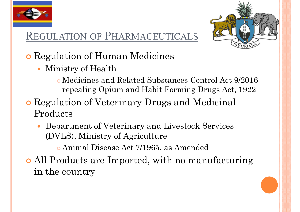

#### REGULATION OF PHARMACEUTICALS



- **o** Regulation of Human Medicines
	- $\bullet$  Ministry of Health
		- Medicines and Related Substances Control Act 9/2016 repealing Opium and Habit Forming Drugs Act, 1922
- **o** Regulation of Veterinary Drugs and Medicinal Products
	- $\bullet$  Department of Veterinary and Livestock Services (DVLS), Ministry of Agriculture
		- Animal Disease Act 7/1965, as Amended
- All Products are Imported, with no manufacturing in the country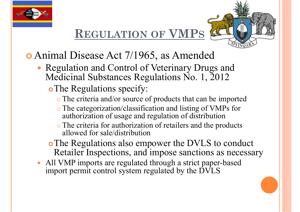

#### **REGULATION OF VMPS**



- Animal Disease Act 7/1965, as Amended
	- Regulation and Control of Veterinary Drugs and Medicinal Substances Regulations No. 1, 2012
		- o The Regulations specify:
			- The criteria and/or source of products that can be imported
			- The categorization/classification and listing of VMPs for authorization of usage and regulation of distribution
			- The criteria for authorization of retailers and the products allowed for sale/distribution
		- The Regulations also empower the DVLS to conduct Retailer Inspections, and impose sanctions as necessary
	- All VMP imports are regulated through a strict paper-based import permit control system regulated by the DVLS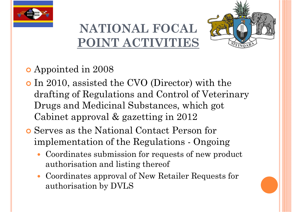



#### Appointed in 2008

- In 2010, assisted the CVO (Director) with the drafting of Regulations and Control of Veterinary Drugs and Medicinal Substances, which got Cabinet approval & gazetting in 2012
- Serves as the National Contact Person for implementation of the Regulations - Ongoing
	- $\bullet$  Coordinates submission for requests of new product authorisation and listing thereof
	- Coordinates approval of New Retailer Requests for authorisation by DVLS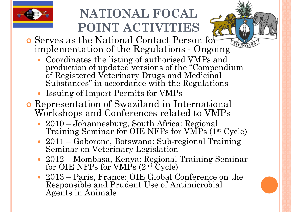



- Serves as the National Contact Person for implementation of the Regulations - Ongoing
	- Coordinates the listing of authorised VMPs and production of updated versions of the "Compendium of Registered Veterinary Drugs and Medicinal Substances" in accordance with the Regulations
	- Issuing of Import Permits for VMPs
- Representation of Swaziland in International Workshops and Conferences related to VMPs
	- 2010 Johannesburg, South Africa: Regional Training Seminar for OIE NFPs for VMPs (1st Cycle)
	- 2011 Gaborone, Botswana: Sub-regional Training Seminar on Veterinary Legislation
	- 2012 Mombasa, Kenya: Regional Training Seminar for OIE NFPs for VMPs (2nd Cycle)
	- 2013 Paris, France: OIE Global Conference on the Responsible and Prudent Use of Antimicrobial Agents in Animals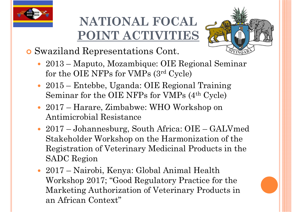



- Swaziland Representations Cont.
	- 2013 Maputo, Mozambique: OIE Regional Seminar for the OIE NFPs for VMPs (3rd Cycle)
	- 2015 Entebbe, Uganda: OIE Regional Training Seminar for the OIE NFPs for VMPs (4th Cycle)
	- 2017 Harare, Zimbabwe: WHO Workshop on Antimicrobial Resistance
	- 2017 Johannesburg, South Africa: OIE GALVmed Stakeholder Workshop on the Harmonization of the Registration of Veterinary Medicinal Products in the SADC Region
	- 2017 Nairobi, Kenya: Global Animal Health Workshop 2017; "Good Regulatory Practice for the Marketing Authorization of Veterinary Products in an African Context"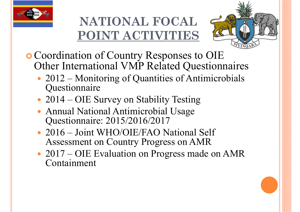



- Coordination of Country Responses to OIE Other International VMP Related Questionnaires
	- 2012 Monitoring of Quantities of Antimicrobials Questionnaire
	- 2014 OIE Survey on Stability Testing
	- Annual National Antimicrobial Usage Questionnaire: 2015/2016/2017
	- 2016 Joint WHO/OIE/FAO National Self Assessment on Country Progress on AMR
	- 2017 OIE Evaluation on Progress made on AMR Containment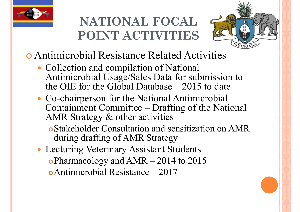



- Antimicrobial Resistance Related Activities
	- Collection and compilation of National Antimicrobial Usage/Sales Data for submission to the OIE for the Global Database  $-2015$  to date
	- Co-chairperson for the National Antimicrobial Containment Committee – Drafting of the National AMR Strategy & other activities
		- Stakeholder Consultation and sensitization on AMR during drafting of AMR Strategy
	- Lecturing Veterinary Assistant Students Pharmacology and AMR – 2014 to 2015 Antimicrobial Resistance – 2017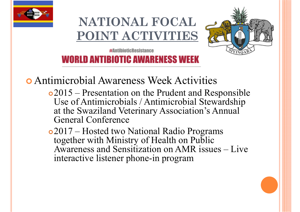



**#AntihinticResistance WORLD ANTIBIOTIC AWARENESS WEEK** 

Antimicrobial Awareness Week Activities

- 2015 Presentation on the Prudent and Responsible Use of Antimicrobials / Antimicrobial Stewardship at the Swaziland Veterinary Association's Annual General Conference
- 2017 Hosted two National Radio Programs together with Ministry of Health on Public Awareness and Sensitization on AMR issues – Live interactive listener phone-in program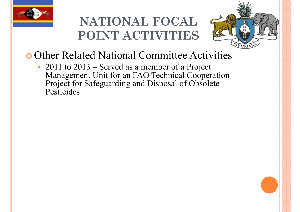



- **o** Other Related National Committee Activities
	- 2011 to 2013 Served as a member of a Project Management Unit for an FAO Technical Cooperation Project for Safeguarding and Disposal of Obsolete **Pesticides**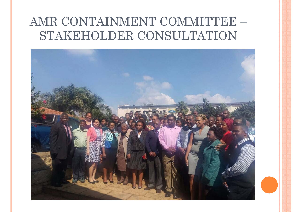#### AMR CONTAINMENT COMMITTEE -STAKEHOLDER CONSULTATION